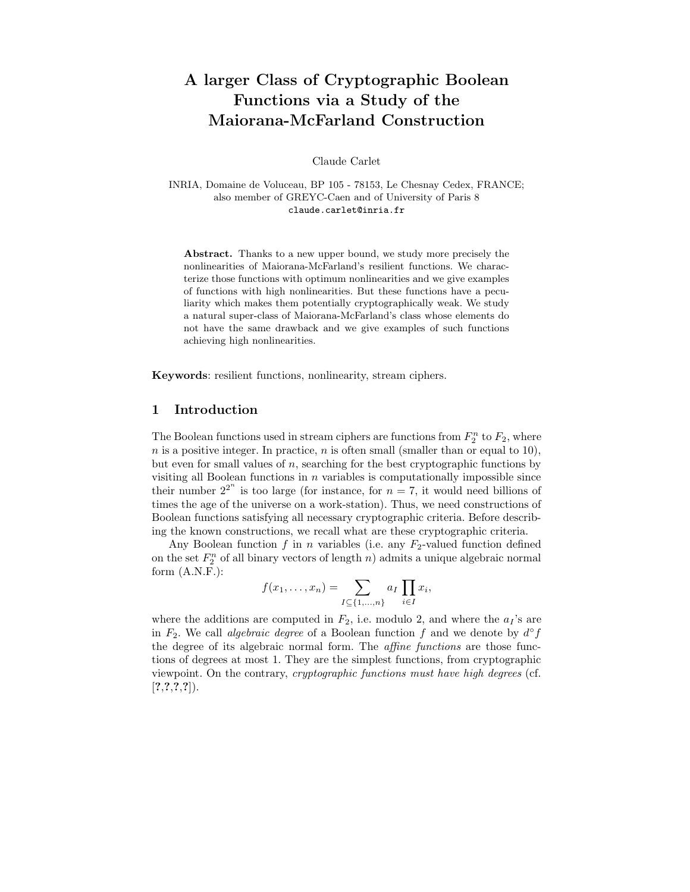# A larger Class of Cryptographic Boolean Functions via a Study of the Maiorana-McFarland Construction

Claude Carlet

INRIA, Domaine de Voluceau, BP 105 - 78153, Le Chesnay Cedex, FRANCE; also member of GREYC-Caen and of University of Paris 8 claude.carlet@inria.fr

Abstract. Thanks to a new upper bound, we study more precisely the nonlinearities of Maiorana-McFarland's resilient functions. We characterize those functions with optimum nonlinearities and we give examples of functions with high nonlinearities. But these functions have a peculiarity which makes them potentially cryptographically weak. We study a natural super-class of Maiorana-McFarland's class whose elements do not have the same drawback and we give examples of such functions achieving high nonlinearities.

Keywords: resilient functions, nonlinearity, stream ciphers.

## 1 Introduction

The Boolean functions used in stream ciphers are functions from  $F_2^n$  to  $F_2$ , where n is a positive integer. In practice, n is often small (smaller than or equal to 10), but even for small values of  $n$ , searching for the best cryptographic functions by visiting all Boolean functions in  $n$  variables is computationally impossible since their number  $2^{2^n}$  is too large (for instance, for  $n = 7$ , it would need billions of times the age of the universe on a work-station). Thus, we need constructions of Boolean functions satisfying all necessary cryptographic criteria. Before describing the known constructions, we recall what are these cryptographic criteria.

Any Boolean function  $f$  in  $n$  variables (i.e. any  $F_2$ -valued function defined on the set  $F_2^n$  of all binary vectors of length n) admits a unique algebraic normal form  $(A.N.F.):$ 

$$
f(x_1,\ldots,x_n)=\sum_{I\subseteq\{1,\ldots,n\}}a_I\prod_{i\in I}x_i,
$$

where the additions are computed in  $F_2$ , i.e. modulo 2, and where the  $a_I$ 's are in  $F_2$ . We call *algebraic degree* of a Boolean function f and we denote by  $d^{\circ} f$ the degree of its algebraic normal form. The affine functions are those functions of degrees at most 1. They are the simplest functions, from cryptographic viewpoint. On the contrary, cryptographic functions must have high degrees (cf.  $[?,?,?,?,?]).$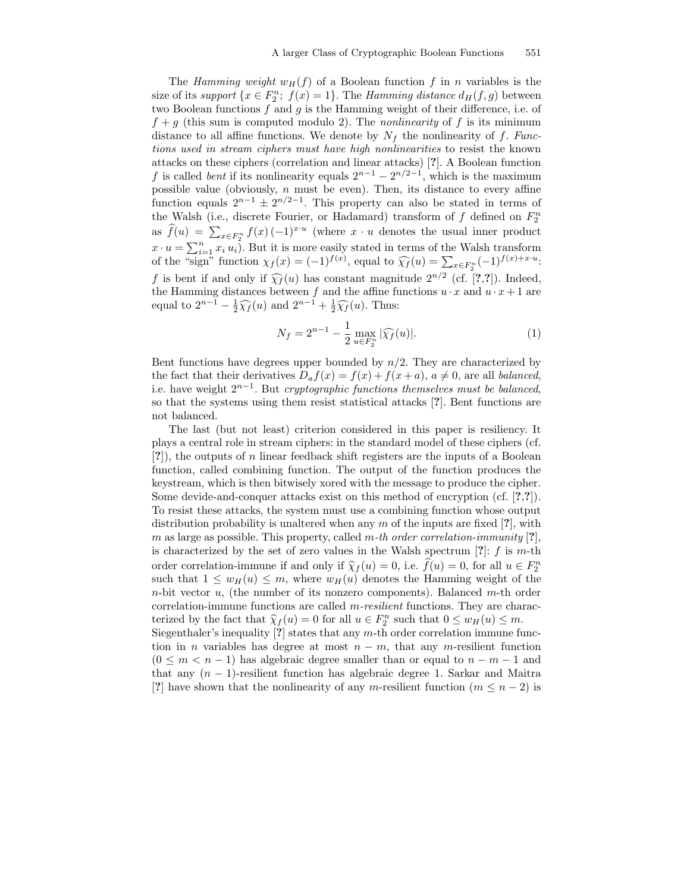The Hamming weight  $w_H(f)$  of a Boolean function f in n variables is the size of its support  $\{x \in F_2^n; f(x) = 1\}$ . The Hamming distance  $d_H(f, g)$  between two Boolean functions f and g is the Hamming weight of their difference, i.e. of  $f + g$  (this sum is computed modulo 2). The *nonlinearity* of f is its minimum distance to all affine functions. We denote by  $N_f$  the nonlinearity of f. Functions used in stream ciphers must have high nonlinearities to resist the known attacks on these ciphers (correlation and linear attacks) [?]. A Boolean function f is called *bent* if its nonlinearity equals  $2^{n-1} - 2^{n/2-1}$ , which is the maximum possible value (obviously,  $n$  must be even). Then, its distance to every affine function equals  $2^{n-1} \pm 2^{n/2-1}$ . This property can also be stated in terms of the Walsh (i.e., discrete Fourier, or Hadamard) transform of  $f$  defined on  $F_2^n$ as  $\widehat{f}(u) = \sum_{x \in F_2^n} f(x) (-1)^{x \cdot u}$  (where  $x \cdot u$  denotes the usual inner product  $x \cdot u = \sum_{i=1}^{n} x_i u_i$ ). But it is more easily stated in terms of the Walsh transform of the "sign" function  $\chi_f(x) = (-1)^{f(x)}$ , equal to  $\widehat{\chi_f}(u) = \sum_{x \in F_2^n} (-1)^{f(x)+x \cdot u}$ . f is bent if and only if  $\widehat{\chi}_f(u)$  has constant magnitude  $2^{n/2}$  (cf. [?,?]). Indeed, the Hamming distances between f and the affine functions  $u \cdot x$  and  $u \cdot x + 1$  are equal to  $2^{n-1} - \frac{1}{2}\widehat{\chi}_f(u)$  and  $2^{n-1} + \frac{1}{2}\widehat{\chi}_f(u)$ . Thus:

$$
N_f = 2^{n-1} - \frac{1}{2} \max_{u \in F_2^n} |\widehat{\chi_f}(u)|.
$$
 (1)

Bent functions have degrees upper bounded by  $n/2$ . They are characterized by the fact that their derivatives  $D_a f(x) = f(x) + f(x+a)$ ,  $a \neq 0$ , are all balanced, i.e. have weight  $2^{n-1}$ . But *cryptographic functions themselves must be balanced*, so that the systems using them resist statistical attacks [?]. Bent functions are not balanced.

The last (but not least) criterion considered in this paper is resiliency. It plays a central role in stream ciphers: in the standard model of these ciphers (cf. [?]), the outputs of n linear feedback shift registers are the inputs of a Boolean function, called combining function. The output of the function produces the keystream, which is then bitwisely xored with the message to produce the cipher. Some devide-and-conquer attacks exist on this method of encryption (cf. [?,?]). To resist these attacks, the system must use a combining function whose output distribution probability is unaltered when any  $m$  of the inputs are fixed [?], with m as large as possible. This property, called m-th order correlation-immunity  $[?]$ , is characterized by the set of zero values in the Walsh spectrum  $[?]: f$  is m-th order correlation-immune if and only if  $\hat{\chi}_f(u) = 0$ , i.e.  $f(u) = 0$ , for all  $u \in F_2^n$ such that  $1 \leq w_H(u) \leq m$ , where  $w_H(u)$  denotes the Hamming weight of the  $n$ -bit vector  $u$ , (the number of its nonzero components). Balanced  $m$ -th order correlation-immune functions are called *m-resilient* functions. They are characterized by the fact that  $\hat{\chi}_f(u) = 0$  for all  $u \in F_2^n$  such that  $0 \leq w_H(u) \leq m$ . Siegenthaler's inequality  $[?]$  states that any m-th order correlation immune func-

tion in *n* variables has degree at most  $n - m$ , that any *m*-resilient function  $(0 \leq m < n-1)$  has algebraic degree smaller than or equal to  $n-m-1$  and that any  $(n - 1)$ -resilient function has algebraic degree 1. Sarkar and Maitra [?] have shown that the nonlinearity of any m-resilient function  $(m \leq n-2)$  is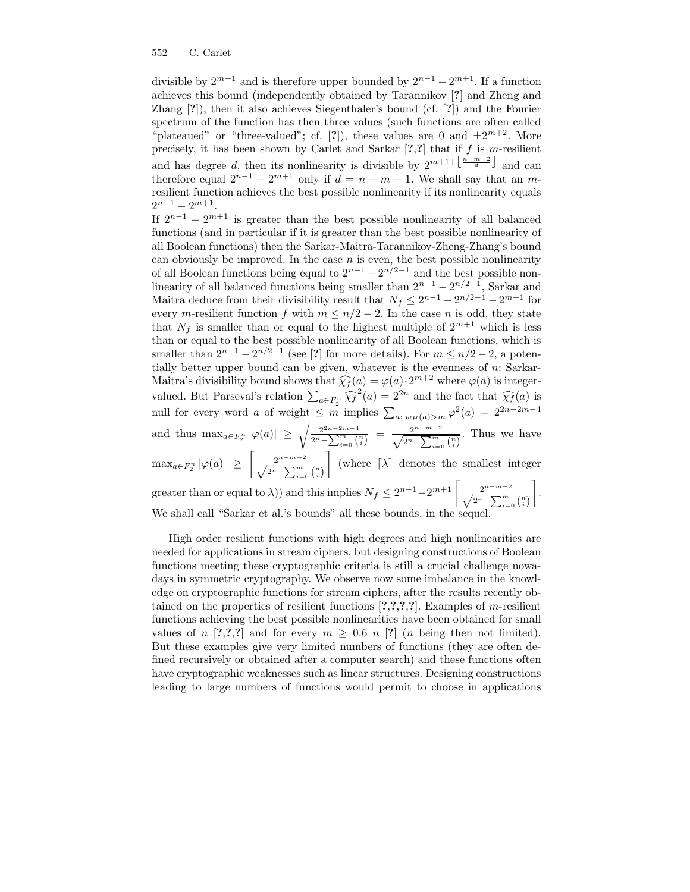divisible by  $2^{m+1}$  and is therefore upper bounded by  $2^{n-1} - 2^{m+1}$ . If a function achieves this bound (independently obtained by Tarannikov [?] and Zheng and Zhang [?]), then it also achieves Siegenthaler's bound (cf. [?]) and the Fourier spectrum of the function has then three values (such functions are often called "plateaued" or "three-valued"; cf. [?]), these values are 0 and  $\pm 2^{m+2}$ . More precisely, it has been shown by Carlet and Sarkar  $[?,?]$  that if f is m-resilient and has degree d, then its nonlinearity is divisible by  $2^{m+1+\lfloor\frac{n-m-2}{d}\rfloor}$  and can therefore equal  $2^{n-1} - 2^{m+1}$  only if  $d = n - m - 1$ . We shall say that an mresilient function achieves the best possible nonlinearity if its nonlinearity equals  $2^{n-1} - 2^{m+1}$ .

If  $2^{n-1} - 2^{m+1}$  is greater than the best possible nonlinearity of all balanced functions (and in particular if it is greater than the best possible nonlinearity of all Boolean functions) then the Sarkar-Maitra-Tarannikov-Zheng-Zhang's bound can obviously be improved. In the case  $n$  is even, the best possible nonlinearity of all Boolean functions being equal to  $2^{n-1} - 2^{n/2-1}$  and the best possible nonlinearity of all balanced functions being smaller than  $2^{n-1} - 2^{n/2-1}$ , Sarkar and Maitra deduce from their divisibility result that  $N_f \leq 2^{n-1} - 2^{n/2-1} - 2^{m+1}$  for every m-resilient function f with  $m \leq n/2 - 2$ . In the case n is odd, they state that  $N_f$  is smaller than or equal to the highest multiple of  $2^{m+1}$  which is less than or equal to the best possible nonlinearity of all Boolean functions, which is smaller than  $2^{n-1} - 2^{n/2-1}$  (see [?] for more details). For  $m \leq n/2-2$ , a potentially better upper bound can be given, whatever is the evenness of  $n$ : Sarkar-Maitra's divisibility bound shows that  $\widehat{\chi}_f(a) = \varphi(a) \cdot 2^{m+2}$  where  $\varphi(a)$  is integervalued. But Parseval's relation  $\sum_{a \in F_2^n} \widehat{\chi_f}^2(a) = 2^{2n}$  and the fact that  $\widehat{\chi_f}(a)$  is null for every word a of weight  $\leq m$  implies  $\sum_{a; w_H(a) > m} \varphi^2(a) = 2^{2n-2m-4}$ and thus  $\max_{a \in F_2^n} |\varphi(a)| \geq \sqrt{\frac{2^{2n-2m-4}}{2^n-{\mathsf N}^m}}$  $\frac{2^{2n-2m-4}}{2^n-\sum_{i=0}^m \binom{n}{i}} = \frac{2^{n-m-2}}{\sqrt{2^n-\sum_{i=0}^m \binom{n}{i}}}$ . Thus we have  $\max_{a\in F_2^n} |\varphi(a)| \geq$  $\sqrt{\frac{2^{n-m-2}}{\sqrt{2^n-\sum_{i=0}^m\binom{n}{i}}}}$ ¼ (where  $\lceil \lambda \rceil$  denotes the smallest integer

greater than or equal to  $\lambda$ )) and this implies  $N_f \leq 2^{n-1} - 2^{m+1} \left[ \frac{2^{n-m-2}}{\sqrt{2^n - \sum_{i=0}^{m} {n \choose i}}} \right]$ ¼ . We shall call "Sarkar et al.'s bounds" all these bounds, in the sequel.

High order resilient functions with high degrees and high nonlinearities are needed for applications in stream ciphers, but designing constructions of Boolean functions meeting these cryptographic criteria is still a crucial challenge nowadays in symmetric cryptography. We observe now some imbalance in the knowledge on cryptographic functions for stream ciphers, after the results recently obtained on the properties of resilient functions  $[?,?,?,?,']$ . Examples of m-resilient functions achieving the best possible nonlinearities have been obtained for small values of n [?,?,?] and for every  $m \geq 0.6$  n [?] (n being then not limited). But these examples give very limited numbers of functions (they are often defined recursively or obtained after a computer search) and these functions often have cryptographic weaknesses such as linear structures. Designing constructions leading to large numbers of functions would permit to choose in applications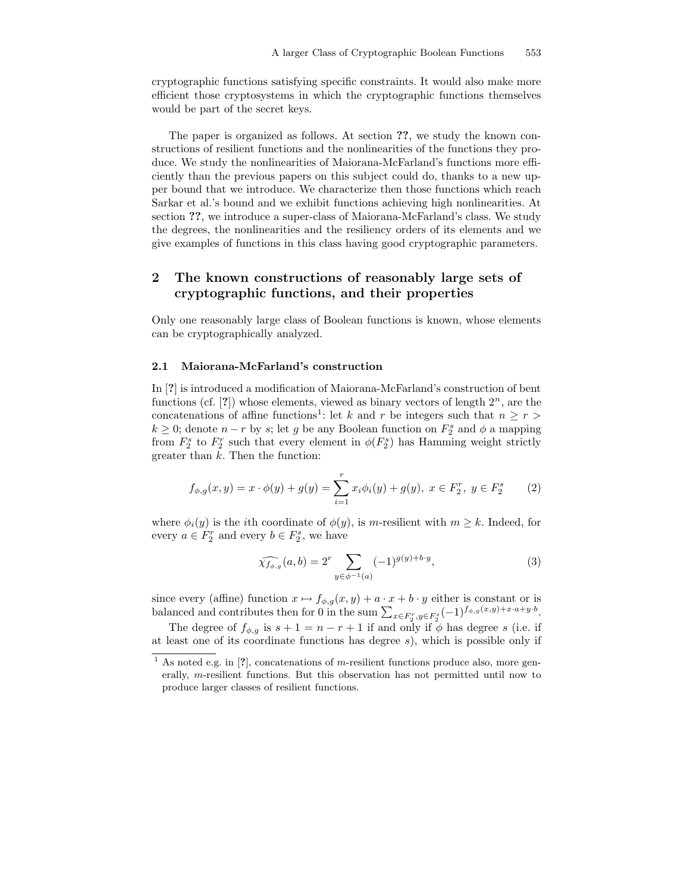cryptographic functions satisfying specific constraints. It would also make more efficient those cryptosystems in which the cryptographic functions themselves would be part of the secret keys.

The paper is organized as follows. At section ??, we study the known constructions of resilient functions and the nonlinearities of the functions they produce. We study the nonlinearities of Maiorana-McFarland's functions more efficiently than the previous papers on this subject could do, thanks to a new upper bound that we introduce. We characterize then those functions which reach Sarkar et al.'s bound and we exhibit functions achieving high nonlinearities. At section ??, we introduce a super-class of Maiorana-McFarland's class. We study the degrees, the nonlinearities and the resiliency orders of its elements and we give examples of functions in this class having good cryptographic parameters.

# 2 The known constructions of reasonably large sets of cryptographic functions, and their properties

Only one reasonably large class of Boolean functions is known, whose elements can be cryptographically analyzed.

#### 2.1 Maiorana-McFarland's construction

In [?] is introduced a modification of Maiorana-McFarland's construction of bent functions (cf.  $[?]$ ) whose elements, viewed as binary vectors of length  $2^n$ , are the concatenations of affine functions<sup>1</sup>: let k and r be integers such that  $n \geq r >$  $k \geq 0$ ; denote  $n-r$  by  $s$ ; let  $g$  be any Boolean function on  $F_2^s$  and  $\phi$  a mapping from  $F_2^s$  to  $F_2^r$  such that every element in  $\phi(F_2^s)$  has Hamming weight strictly greater than  $k$ . Then the function:

$$
f_{\phi,g}(x,y) = x \cdot \phi(y) + g(y) = \sum_{i=1}^{r} x_i \phi_i(y) + g(y), \ x \in F_2^r, \ y \in F_2^s \tag{2}
$$

where  $\phi_i(y)$  is the *i*th coordinate of  $\phi(y)$ , is m-resilient with  $m \geq k$ . Indeed, for every  $a \in F_2^r$  and every  $b \in F_2^s$ , we have

$$
\widehat{\chi_{f_{\phi,g}}}(a,b) = 2^r \sum_{y \in \phi^{-1}(a)} (-1)^{g(y)+b \cdot y},\tag{3}
$$

since every (affine) function  $x \mapsto f_{\phi,g}(x, y) + a \cdot x + b \cdot y$  either is constant or is balanced and contributes then for 0 in the sum  $\sum_{x \in F_2^r, y \in F_2^s} (-1)^{f_{\phi,g}(x,y)+x \cdot a+y \cdot b}$ .

The degree of  $f_{\phi,g}$  is  $s + 1 = n - r + 1$  if and only if  $\phi$  has degree s (i.e. if at least one of its coordinate functions has degree  $s$ ), which is possible only if

<sup>&</sup>lt;sup>1</sup> As noted e.g. in [?], concatenations of m-resilient functions produce also, more generally, m-resilient functions. But this observation has not permitted until now to produce larger classes of resilient functions.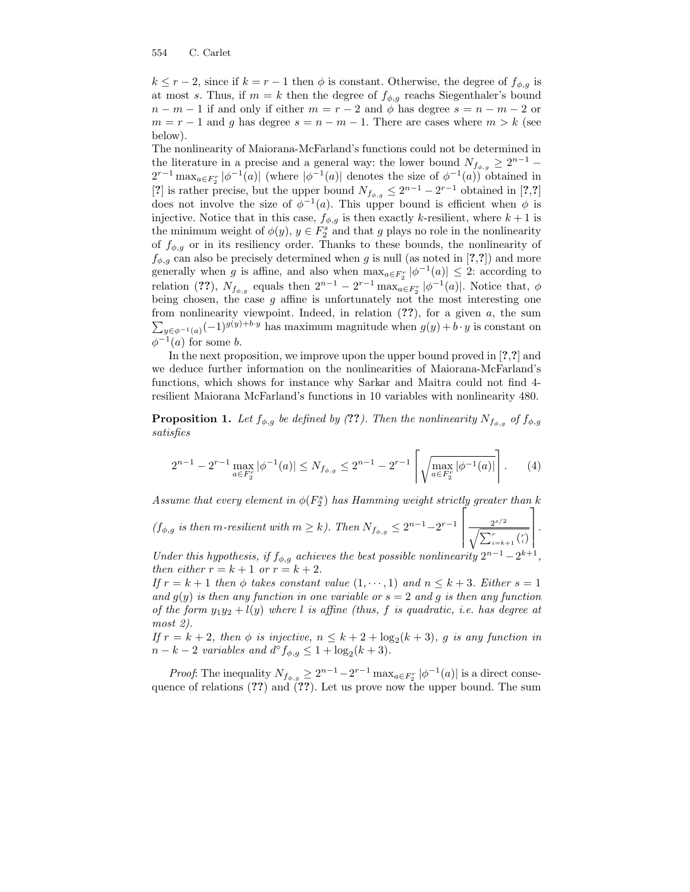$k \le r-2$ , since if  $k = r-1$  then  $\phi$  is constant. Otherwise, the degree of  $f_{\phi,q}$  is at most s. Thus, if  $m = k$  then the degree of  $f_{\phi,g}$  reachs Siegenthaler's bound  $n - m - 1$  if and only if either  $m = r - 2$  and  $\phi$  has degree  $s = n - m - 2$  or  $m = r - 1$  and g has degree  $s = n - m - 1$ . There are cases where  $m > k$  (see below).

The nonlinearity of Maiorana-McFarland's functions could not be determined in the literature in a precise and a general way: the lower bound  $N_{f_{\phi,g}} \geq 2^{n-1}$  $2^{r-1} \max_{a \in F_2^r} |\phi^{-1}(a)|$  (where  $|\phi^{-1}(a)|$  denotes the size of  $\phi^{-1}(a)$ ) obtained in [?] is rather precise, but the upper bound  $N_{f_{\phi,g}} \leq 2^{n-1} - 2^{r-1}$  obtained in [?,?] does not involve the size of  $\phi^{-1}(a)$ . This upper bound is efficient when  $\phi$  is injective. Notice that in this case,  $f_{\phi,g}$  is then exactly k-resilient, where  $k+1$  is the minimum weight of  $\phi(y)$ ,  $y \in F_2^s$  and that g plays no role in the nonlinearity of  $f_{\phi,g}$  or in its resiliency order. Thanks to these bounds, the nonlinearity of  $f_{\phi,g}$  can also be precisely determined when g is null (as noted in [?,?]) and more generally when g is affine, and also when  $\max_{a \in F_2^r} |\phi^{-1}(a)| \leq 2$ : according to relation (??),  $N_{f_{\phi,g}}$  equals then  $2^{n-1} - 2^{r-1} \max_{a \in F_2^n} |\phi^{-1}(a)|$ . Notice that,  $\phi$ being chosen, the case  $g$  affine is unfortunately not the most interesting one from nonlinearity viewpoint. Indeed, in relation (??), for a given a, the sum  $\sum_{y \in \phi^{-1}(a)} (-1)^{g(y)+b \cdot y}$  has maximum magnitude when  $g(y) + b \cdot y$  is constant on  $\phi^{-1}(a)$  for some b.

In the next proposition, we improve upon the upper bound proved in [?,?] and we deduce further information on the nonlinearities of Maiorana-McFarland's functions, which shows for instance why Sarkar and Maitra could not find 4 resilient Maiorana McFarland's functions in 10 variables with nonlinearity 480.

**Proposition 1.** Let  $f_{\phi,g}$  be defined by (??). Then the nonlinearity  $N_{f_{\phi,g}}$  of  $f_{\phi,g}$ satisfies

$$
2^{n-1} - 2^{r-1} \max_{a \in F_2^r} |\phi^{-1}(a)| \le N_{f_{\phi,g}} \le 2^{n-1} - 2^{r-1} \left[ \sqrt{\max_{a \in F_2^r} |\phi^{-1}(a)|} \right]. \tag{4}
$$

Assume that every element in  $\phi(F_2^s)$  has Hamming weight strictly greater than k 2 1

 $(f_{\phi,g}$  is then m-resilient with  $m \geq k$ ). Then  $N_{f_{\phi,g}} \leq 2^{n-1} - 2^{r-1}$ Ĕ  $\frac{2^{s/2}}{\sqrt{\sum_{i=k+1}^{r} {r \choose i}}}$ 

Under this hypothesis, if  $f_{\phi,g}$  achieves the best possible nonlinearity  $2^{n-1} - 2^{k+1}$ , then either  $r = k + 1$  or  $r = k + 2$ .

 .

If  $r = k + 1$  then  $\phi$  takes constant value  $(1, \dots, 1)$  and  $n \leq k + 3$ . Either  $s = 1$ and  $g(y)$  is then any function in one variable or  $s = 2$  and g is then any function of the form  $y_1y_2 + l(y)$  where l is affine (thus, f is quadratic, i.e. has degree at most 2).

If  $r = k + 2$ , then  $\phi$  is injective,  $n \leq k + 2 + \log_2(k + 3)$ , g is any function in  $n-k-2$  variables and  $d^{\circ} f_{\phi,g} \leq 1 + \log_2(k+3)$ .

*Proof*: The inequality  $N_{f_{\phi,g}} \geq 2^{n-1} - 2^{r-1} \max_{a \in F_2^r} |\phi^{-1}(a)|$  is a direct consequence of relations  $(??)$  and  $(??)$ . Let us prove now the upper bound. The sum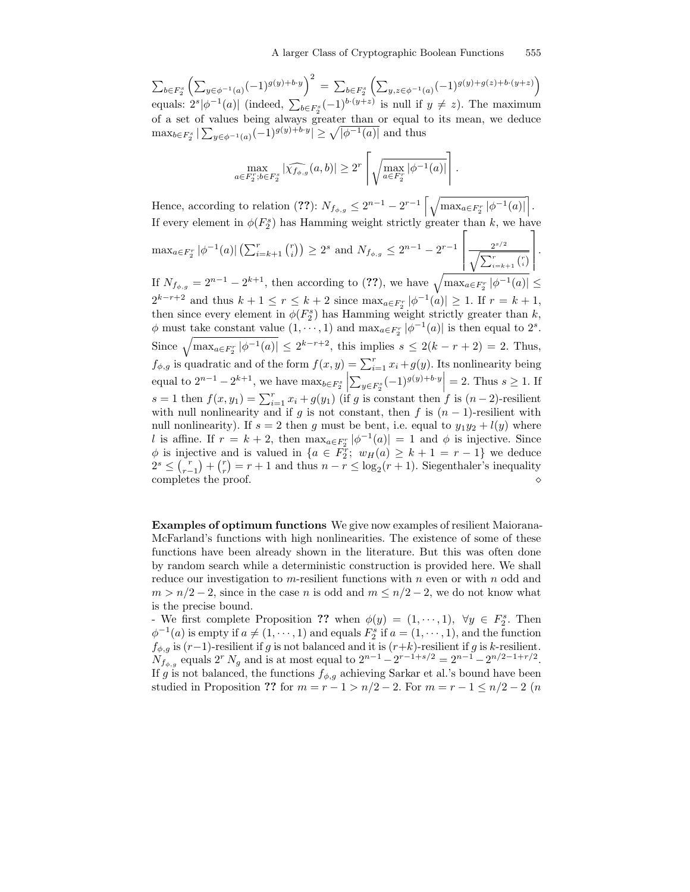.

 $\sum_{b\in F_2^s}\left(\sum_{y\in \phi^{-1}(a)}(-1)^{g(y)+b\cdot y}\right)^2 \;=\; \sum_{b\in F_2^s}\left(\sum_{y,z\in \phi^{-1}(a)}(-1)^{g(y)+g(z)+b\cdot (y+z)}\right)$ equals:  $2^{s}|\phi^{-1}(a)|$  (indeed,  $\sum_{b\in F_{2}^{s}}(-1)^{b\cdot(y+z)}$  is null if  $y\neq z$ ). The maximum of a set of values being always greater than or equal to its mean, we deduce  $\max_{b \in F_2^s} |\sum_{y \in \phi^{-1}(a)} (-1)^{g(y) + b \cdot y}| \ge \sqrt{|\phi^{-1}(a)|}$  and thus

$$
\max_{a \in F_2^r; b \in F_2^s} |\widehat{\chi_{f_{\phi,g}}}(a,b)| \geq 2^r \left[ \sqrt{\max_{a \in F_2^r} |\phi^{-1}(a)|} \right].
$$

Hence, according to relation (??):  $N_{f_{\phi,g}} \leq 2^{n-1} - 2^{r-1} \left[ \sqrt{\max_{a \in F_2^r} |\phi^{-1}(a)|} \right]$ . If every element in  $\phi(F_2^s)$  has Hamming weight strictly greater than k, we have

 $\max_{a \in F_2^r} |\phi^{-1}(a)| \left( \sum_{i=k+1}^r {r \choose i} \right) \ge 2^s$  and  $N_{f_{\phi,g}} \le 2^{n-1} - 2^{r-1}$  $\sqrt{ }$   $\frac{2^{s/2}}{\sqrt{\sum_{i=k+1}^{r} {r \choose i}}}$ 1 

If  $N_{f_{\phi,g}} = 2^{n-1} - 2^{k+1}$ , then according to (??), we have  $\sqrt{\max_{a \in F_2^r} |\phi^{-1}(a)|} \le$  $2^{k-r+2}$  and thus  $k+1 \le r \le k+2$  since  $\max_{a \in F_2^r} |\phi^{-1}(a)| \ge 1$ . If  $r = k+1$ , then since every element in  $\phi(F_2^s)$  has Hamming weight strictly greater than k,  $\phi$  must take constant value  $(1, \dots, 1)$  and  $\max_{a \in F_2^r} |\phi^{-1}(a)|$  is then equal to  $2^s$ . Since  $\sqrt{\max_{a \in F_{\delta}^r} |\phi^{-1}(a)|} \leq 2^{k-r+2}$ , this implies  $s \leq 2(k-r+2) = 2$ . Thus, 2  $f_{\phi,g}$  is quadratic and of the form  $f(x,y) = \sum_{i=1}^{r} x_i + g(y)$ . Its nonlinearity being equal to  $2^{n-1} - 2^{k+1}$ , we have  $\max_{b \in F_2^s}$  $\left| \sum_{y \in F_2^s} (-1)^{g(y)+b \cdot y} \right| = 2$ . Thus  $s \ge 1$ . If s = 1 then  $f(x, y_1) = \sum_{i=1}^r x_i + g(y_1)$  (if g is constant then f is  $(n-2)$ -resilient with null nonlinearity and if g is not constant, then f is  $(n - 1)$ -resilient with null nonlinearity). If  $s = 2$  then g must be bent, i.e. equal to  $y_1y_2 + l(y)$  where l is affine. If  $r = k + 2$ , then  $\max_{a \in F_2^r} |\phi^{-1}(a)| = 1$  and  $\phi$  is injective. Since  $\phi$  is injective and is valued in  $\{a \in \overline{F}_2^r; w_H(a) \geq k+1 = r-1\}$  we deduce  $2^s \leq {r \choose r-1} + {r \choose r} = r+1$  and thus  $n-r \leq \log_2(r+1)$ . Siegenthaler's inequality completes the proof.  $\Diamond$ 

Examples of optimum functions We give now examples of resilient Maiorana-McFarland's functions with high nonlinearities. The existence of some of these functions have been already shown in the literature. But this was often done by random search while a deterministic construction is provided here. We shall reduce our investigation to m-resilient functions with  $n$  even or with  $n$  odd and  $m > n/2 - 2$ , since in the case n is odd and  $m \leq n/2 - 2$ , we do not know what is the precise bound.

- We first complete Proposition ?? when  $\phi(y) = (1, \dots, 1)$ ,  $\forall y \in F_2^s$ . Then  $\phi^{-1}(a)$  is empty if  $a \neq (1, \dots, 1)$  and equals  $F_2^s$  if  $a = (1, \dots, 1)$ , and the function  $f_{\phi,g}$  is  $(r-1)$ -resilient if g is not balanced and it is  $(r+k)$ -resilient if g is k-resilient.  $N_{f_{\phi,g}}$  equals  $2^r N_g$  and is at most equal to  $2^{n-1} - 2^{r-1+s/2} = 2^{n-1} - 2^{n/2-1+r/2}$ . If g is not balanced, the functions  $f_{\phi,g}$  achieving Sarkar et al.'s bound have been studied in Proposition ?? for  $m = r - 1 > n/2 - 2$ . For  $m = r - 1 \leq n/2 - 2$  (*n*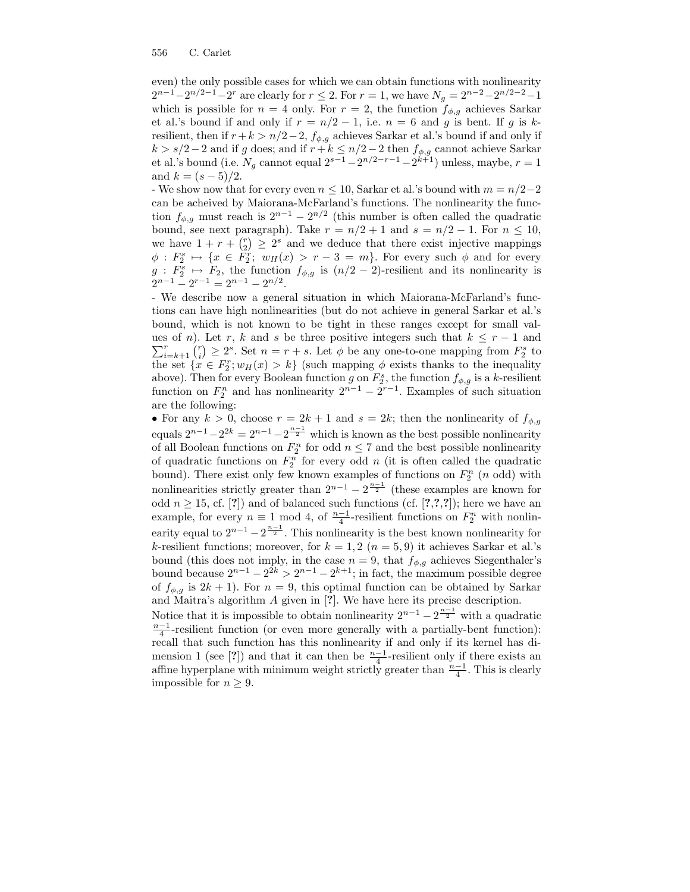impossible for  $n \geq 9$ .

even) the only possible cases for which we can obtain functions with nonlinearity  $2^{n-1}-2^{n/2-1}-2^r$  are clearly for  $r \leq 2$ . For  $r = 1$ , we have  $N_g = 2^{n-2}-2^{n/2-2}-1$ which is possible for  $n = 4$  only. For  $r = 2$ , the function  $f_{\phi,g}$  achieves Sarkar et al.'s bound if and only if  $r = n/2 - 1$ , i.e.  $n = 6$  and g is bent. If g is kresilient, then if  $r+k > n/2-2$ ,  $f_{\phi,g}$  achieves Sarkar et al.'s bound if and only if  $k > s/2-2$  and if g does; and if  $r + k \leq n/2-2$  then  $f_{\phi, g}$  cannot achieve Sarkar et al.'s bound (i.e.  $N_g$  cannot equal  $2^{s-1} - 2^{n/2-r-1} - 2^{k+1}$ ) unless, maybe,  $r = 1$ and  $k = (s - 5)/2$ .

- We show now that for every even  $n \leq 10$ , Sarkar et al.'s bound with  $m = n/2-2$ can be acheived by Maiorana-McFarland's functions. The nonlinearity the function  $f_{\phi,g}$  must reach is  $2^{n-1} - 2^{n/2}$  (this number is often called the quadratic bound, see next paragraph). Take  $r = n/2 + 1$  and  $s = n/2 - 1$ . For  $n \le 10$ , we have  $1 + r + {r \choose 2} \geq 2^s$  and we deduce that there exist injective mappings  $\phi: F_2^s \mapsto \{x \in \overline{F_2^r}; w_H(x) > r-3 = m\}.$  For every such  $\phi$  and for every  $g: F_2^s \mapsto F_2$ , the function  $f_{\phi,g}$  is  $(n/2-2)$ -resilient and its nonlinearity is  $2^{n-1} - 2^{n-1} = 2^{n-1} - 2^{n/2}.$ 

- We describe now a general situation in which Maiorana-McFarland's functions can have high nonlinearities (but do not achieve in general Sarkar et al.'s bound, which is not known to be tight in these ranges except for small val- $\sum_{i=k+1}^{r} {r \choose i} \ge 2^s$ . Set  $n = r + s$ . Let  $\phi$  be any one-to-one mapping from  $F_2^s$  to ues of n). Let r, k and s be three positive integers such that  $k \leq r-1$  and the set  $\{x \in F_2^r; w_H(x) > k\}$  (such mapping  $\phi$  exists thanks to the inequality above). Then for every Boolean function g on  $F_2^s$ , the function  $f_{\phi,g}$  is a k-resilient function on  $F_2^n$  and has nonlinearity  $2^{n-1} - 2^{r-1}$ . Examples of such situation are the following:

• For any  $k > 0$ , choose  $r = 2k + 1$  and  $s = 2k$ ; then the nonlinearity of  $f_{\phi,g}$ equals  $2^{n-1} - 2^{2k} = 2^{n-1} - 2^{\frac{n-1}{2}}$  which is known as the best possible nonlinearity of all Boolean functions on  $F_2^n$  for odd  $n \leq 7$  and the best possible nonlinearity of quadratic functions on  $F_2^n$  for every odd n (it is often called the quadratic bound). There exist only few known examples of functions on  $F_2^n$  (*n* odd) with nonlinearities strictly greater than  $2^{n-1} - 2^{\frac{n-1}{2}}$  (these examples are known for odd  $n \geq 15$ , cf. [?]) and of balanced such functions (cf. [?,?,?]); here we have an example, for every  $n \equiv 1 \mod 4$ , of  $\frac{n-1}{4}$ -resilient functions on  $F_2^n$  with nonlinearity equal to  $2^{n-1} - 2^{\frac{n-1}{2}}$ . This nonlinearity is the best known nonlinearity for k-resilient functions; moreover, for  $k = 1, 2$   $(n = 5, 9)$  it achieves Sarkar et al.'s bound (this does not imply, in the case  $n = 9$ , that  $f_{\phi,q}$  achieves Siegenthaler's bound because  $2^{n-1} - 2^{2k} > 2^{n-1} - 2^{k+1}$ ; in fact, the maximum possible degree of  $f_{\phi,q}$  is  $2k+1$ ). For  $n=9$ , this optimal function can be obtained by Sarkar and Maitra's algorithm A given in [?]. We have here its precise description. Notice that it is impossible to obtain nonlinearity  $2^{n-1} - 2^{\frac{n-1}{2}}$  with a quadratic  $\frac{n-1}{4}$ -resilient function (or even more generally with a partially-bent function): recall that such function has this nonlinearity if and only if its kernel has dimension 1 (see [?]) and that it can then be  $\frac{n-1}{4}$ -resilient only if there exists an affine hyperplane with minimum weight strictly greater than  $\frac{n-1}{4}$ . This is clearly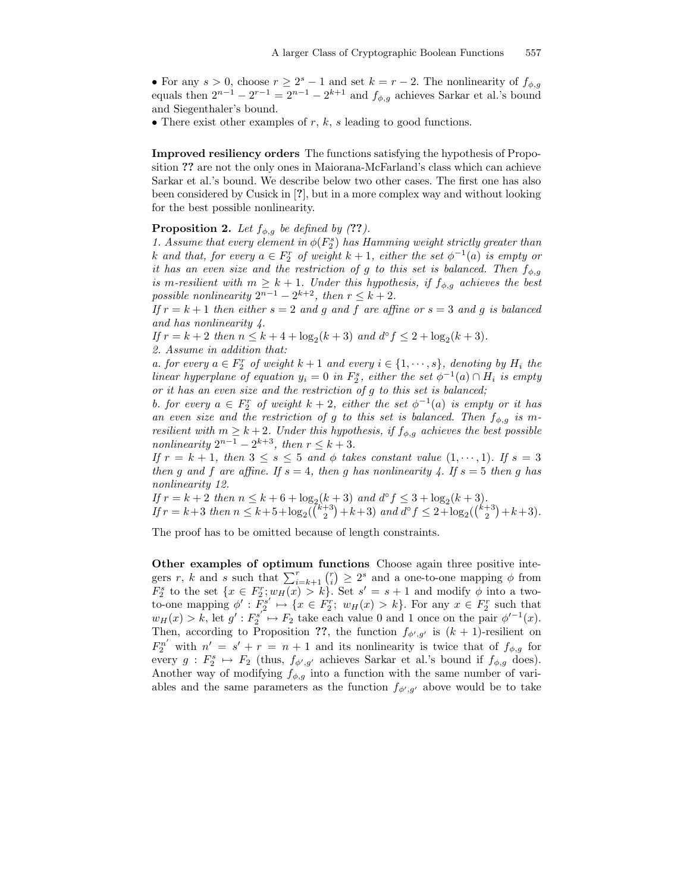• For any  $s > 0$ , choose  $r \geq 2^s - 1$  and set  $k = r - 2$ . The nonlinearity of  $f_{\phi,g}$ equals then  $2^{n-1} - 2^{r-1} = 2^{n-1} - 2^{k+1}$  and  $f_{\phi,g}$  achieves Sarkar et al.'s bound and Siegenthaler's bound.

• There exist other examples of  $r, k, s$  leading to good functions.

Improved resiliency orders The functions satisfying the hypothesis of Proposition ?? are not the only ones in Maiorana-McFarland's class which can achieve Sarkar et al.'s bound. We describe below two other cases. The first one has also been considered by Cusick in [?], but in a more complex way and without looking for the best possible nonlinearity.

### **Proposition 2.** Let  $f_{\phi,q}$  be defined by (??).

1. Assume that every element in  $\phi(F_2^s)$  has Hamming weight strictly greater than k and that, for every  $a \in F_2^r$  of weight  $k+1$ , either the set  $\phi^{-1}(a)$  is empty or it has an even size and the restriction of g to this set is balanced. Then  $f_{\phi,q}$ is m-resilient with  $m \geq k+1$ . Under this hypothesis, if  $f_{\phi,g}$  achieves the best possible nonlinearity  $2^{n-1} - 2^{k+2}$ , then  $r \leq k+2$ .

If  $r = k + 1$  then either  $s = 2$  and g and f are affine or  $s = 3$  and g is balanced and has nonlinearity 4.

If  $r = k + 2$  then  $n \leq k + 4 + \log_2(k + 3)$  and  $d^{\circ} f \leq 2 + \log_2(k + 3)$ . 2. Assume in addition that:

a. for every  $a \in F_2^r$  of weight  $k+1$  and every  $i \in \{1, \dots, s\}$ , denoting by  $H_i$  the linear hyperplane of equation  $y_i = 0$  in  $F_2^s$ , either the set  $\phi^{-1}(a) \cap H_i$  is empty or it has an even size and the restriction of g to this set is balanced;

b. for every  $a \in F_2^r$  of weight  $k+2$ , either the set  $\phi^{-1}(a)$  is empty or it has an even size and the restriction of g to this set is balanced. Then  $f_{\phi,q}$  is mresilient with  $m \geq k+2$ . Under this hypothesis, if  $f_{\phi,g}$  achieves the best possible nonlinearity  $2^{n-1} - 2^{k+3}$ , then  $r \leq k+3$ .

If  $r = k + 1$ , then  $3 \le s \le 5$  and  $\phi$  takes constant value  $(1, \dots, 1)$ . If  $s = 3$ then g and f are affine. If  $s = 4$ , then g has nonlinearity 4. If  $s = 5$  then g has nonlinearity 12.

If  $r = k + 2$  then  $n \leq k + 6 + \log_2(k + 3)$  and  $d^{\circ} f \leq 3 + \log_2(k + 3)$ . If  $r = k+3$  then  $n \leq k+5+\log_2(\binom{k+3}{2}+k+3)$  and  $d^{\circ} f \leq 2+\log_2(\binom{k+3}{2}+k+3)$ .

The proof has to be omitted because of length constraints.

Other examples of optimum functions Choose again three positive integers r, k and s such that  $\sum_{i=k+1}^{r} {r \choose i} \geq 2^s$  and a one-to-one mapping  $\phi$  from  $F_2^s$  to the set  $\{x \in F_2^r; w_H(x) > k\}$ . Set  $s' = s + 1$  and modify  $\phi$  into a twoto-one mapping  $\phi': F_2^{s'} \mapsto \{x \in F_2^r : w_H(x) > k\}$ . For any  $x \in F_2^r$  such that  $w_H(x) > k$ , let  $g' : F_2^{s'} \mapsto F_2$  take each value 0 and 1 once on the pair  $\phi'^{-1}(x)$ . Then, according to Proposition ??, the function  $f_{\phi',g'}$  is  $(k+1)$ -resilient on  $F_2^{n'}$  with  $n' = s' + r = n + 1$  and its nonlinearity is twice that of  $f_{\phi,g}$  for every  $g: F_2^s \mapsto F_2$  (thus,  $f_{\phi',g'}$  achieves Sarkar et al.'s bound if  $f_{\phi,g}$  does). Another way of modifying  $f_{\phi,q}$  into a function with the same number of variables and the same parameters as the function  $f_{\phi',g'}$  above would be to take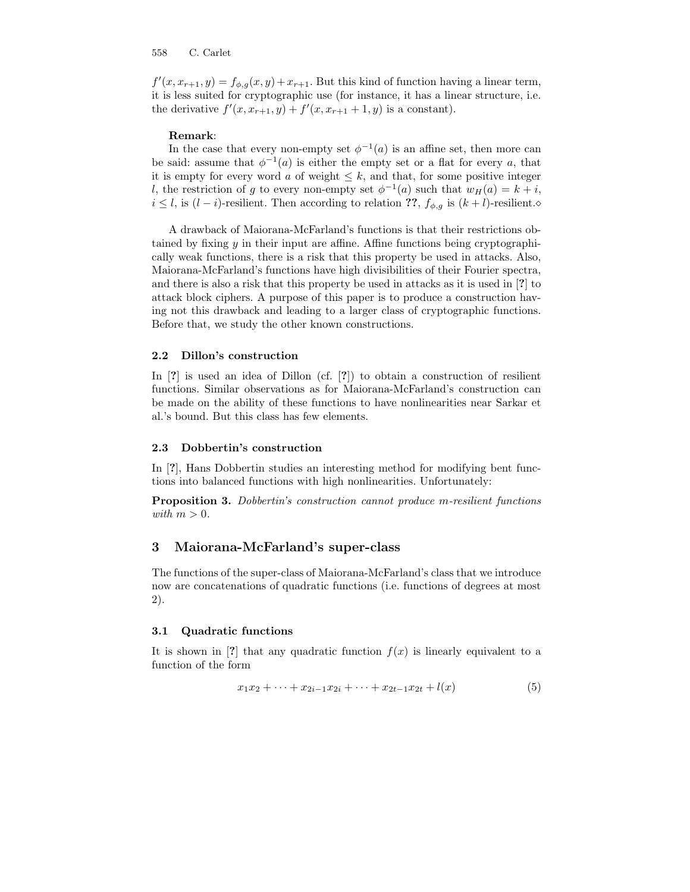$f'(x, x_{r+1}, y) = f_{\phi,g}(x, y) + x_{r+1}$ . But this kind of function having a linear term, it is less suited for cryptographic use (for instance, it has a linear structure, i.e. the derivative  $f'(x, x_{r+1}, y) + f'(x, x_{r+1} + 1, y)$  is a constant).

### Remark:

In the case that every non-empty set  $\phi^{-1}(a)$  is an affine set, then more can be said: assume that  $\phi^{-1}(a)$  is either the empty set or a flat for every a, that it is empty for every word a of weight  $\leq k$ , and that, for some positive integer l, the restriction of g to every non-empty set  $\phi^{-1}(a)$  such that  $w_H(a) = k + i$ ,  $i \leq l$ , is  $(l - i)$ -resilient. Then according to relation ??,  $f_{\phi,g}$  is  $(k + l)$ -resilient. $\diamond$ 

A drawback of Maiorana-McFarland's functions is that their restrictions obtained by fixing  $\gamma$  in their input are affine. Affine functions being cryptographically weak functions, there is a risk that this property be used in attacks. Also, Maiorana-McFarland's functions have high divisibilities of their Fourier spectra, and there is also a risk that this property be used in attacks as it is used in [?] to attack block ciphers. A purpose of this paper is to produce a construction having not this drawback and leading to a larger class of cryptographic functions. Before that, we study the other known constructions.

### 2.2 Dillon's construction

In [?] is used an idea of Dillon (cf. [?]) to obtain a construction of resilient functions. Similar observations as for Maiorana-McFarland's construction can be made on the ability of these functions to have nonlinearities near Sarkar et al.'s bound. But this class has few elements.

### 2.3 Dobbertin's construction

In [?], Hans Dobbertin studies an interesting method for modifying bent functions into balanced functions with high nonlinearities. Unfortunately:

Proposition 3. Dobbertin's construction cannot produce m-resilient functions with  $m > 0$ .

# 3 Maiorana-McFarland's super-class

The functions of the super-class of Maiorana-McFarland's class that we introduce now are concatenations of quadratic functions (i.e. functions of degrees at most 2).

### 3.1 Quadratic functions

It is shown in [?] that any quadratic function  $f(x)$  is linearly equivalent to a function of the form

$$
x_1x_2 + \dots + x_{2i-1}x_{2i} + \dots + x_{2t-1}x_{2t} + l(x) \tag{5}
$$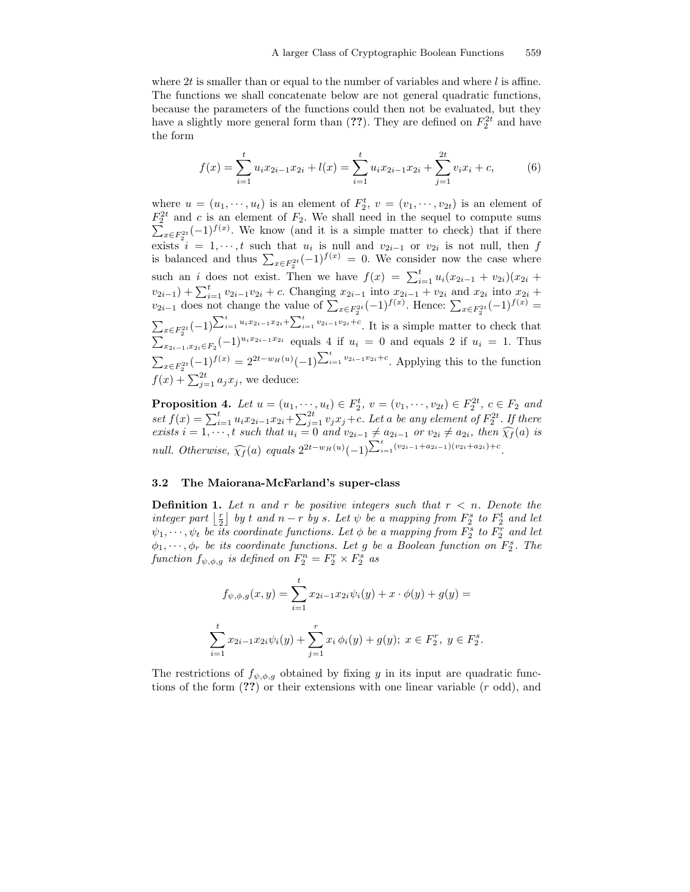where 2t is smaller than or equal to the number of variables and where  $l$  is affine. The functions we shall concatenate below are not general quadratic functions, because the parameters of the functions could then not be evaluated, but they have a slightly more general form than  $(??)$ . They are defined on  $F_2^{2t}$  and have the form

$$
f(x) = \sum_{i=1}^{t} u_i x_{2i-1} x_{2i} + l(x) = \sum_{i=1}^{t} u_i x_{2i-1} x_{2i} + \sum_{j=1}^{2t} v_i x_j + c,
$$
 (6)

where  $u = (u_1, \dots, u_t)$  is an element of  $F_2^t$ ,  $v = (v_1, \dots, v_{2t})$  is an element of  $F_2^{2t}$  and c is an element of  $F_2$ . We shall need in the sequel to compute sums  $\sum_{x \in F_2^{2t}} (-1)^{f(x)}$ . We know (and it is a simple matter to check) that if there exists  $i = 1, \dots, t$  such that  $u_i$  is null and  $v_{2i-1}$  or  $v_{2i}$  is not null, then f is balanced and thus  $\sum_{x \in F_2^{2t}} (-1)^{f(x)} = 0$ . We consider now the case where such an *i* does not exist. Then we have  $f(x) = \sum_{i=1}^{t} u_i(x_{2i-1} + v_{2i})(x_{2i} + v_{2i})$  $(v_{2i-1}) + \sum_{i=1}^{t} v_{2i-1}v_{2i} + c$ . Changing  $x_{2i-1}$  into  $x_{2i-1} + v_{2i}$  and  $x_{2i}$  into  $x_{2i}$  +  $v_{2i-1}$  does not change the value of  $\sum_{x \in F_2^{2t}} (-1)^{f(x)}$ . Hence:  $\sum_{x \in F_2^{2t}} (-1)^{f(x)} =$  $\sum_{x \in F_2^{2t}} (-1)^{\sum_{i=1}^t u_i x_{2i-1}x_{2i} + \sum_{i=1}^t v_{2i-1}v_{2i} + c}$ . It is a simple matter to check that  $\sum_{x_{2i-1},x_{2i}\in F_2}^{x_{\alpha-1,2}}(-1)^{u_ix_{2i-1}x_{2i}}$  equals 4 if  $u_i = 0$  and equals 2 if  $u_i = 1$ . Thus  $\sum_{x \in F_2^{2t}} (-1)^{f(x)} = 2^{2t - w_H(u)} (-1)^{\sum_{i=1}^t v_{2i-1}v_{2i} + c}$ . Applying this to the function  $f(x) + \sum_{j=1}^{2t} a_j x_j$ , we deduce:

**Proposition 4.** Let  $u = (u_1, \dots, u_t) \in F_2^t$ ,  $v = (v_1, \dots, v_{2t}) \in F_2^{2t}$ ,  $c \in F_2$  and set  $f(x) = \sum_{i=1}^{t} u_i x_{2i-1} x_{2i} + \sum_{j=1}^{2t} v_j x_j + c$ . Let a be any element of  $F_2^{2t}$ . If there exists  $i = 1, \dots, t$  such that  $u_i = 0$  and  $v_{2i-1} \neq a_{2i-1}$  or  $v_{2i} \neq a_{2i}$ , then  $\widehat{\chi}_f(a)$  is null. Otherwise,  $\widehat{\chi_f}(a)$  equals  $2^{2t-w_H(u)}(-1)^{\sum_{i=1}^t (v_{2i-1}+a_{2i-1})(v_{2i}+a_{2i})+c}$ .

### 3.2 The Maiorana-McFarland's super-class

**Definition 1.** Let n and r be positive integers such that  $r < n$ . Denote the integer part  $\lfloor \frac{r}{2} \rfloor$  by t and  $n-r$  by s. Let  $\psi$  be a mapping from  $F_2^s$  to  $F_2^t$  and let  $\psi_1, \cdots, \psi_t$  be its coordinate functions. Let  $\phi$  be a mapping from  $F_2^s$  to  $F_2^r$  and let  $\phi_1, \dots, \phi_r$  be its coordinate functions. Let g be a Boolean function on  $F_2^s$ . The function  $f_{\psi,\phi,g}$  is defined on  $F_2^n = F_2^r \times F_2^s$  as

$$
f_{\psi,\phi,g}(x,y) = \sum_{i=1}^{t} x_{2i-1} x_{2i} \psi_i(y) + x \cdot \phi(y) + g(y) =
$$
  

$$
\sum_{i=1}^{t} x_{2i-1} x_{2i} \psi_i(y) + \sum_{j=1}^{r} x_j \phi_i(y) + g(y); \ x \in F_2^r, \ y \in F_2^s.
$$

The restrictions of  $f_{\psi,\phi,q}$  obtained by fixing y in its input are quadratic functions of the form  $(??)$  or their extensions with one linear variable  $(r \text{ odd})$ , and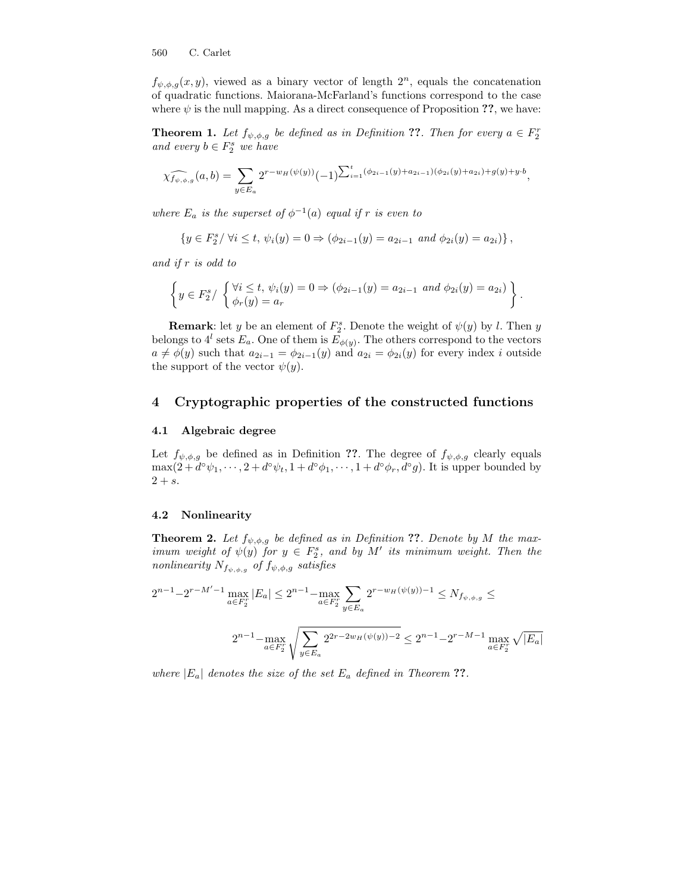$f_{\psi,\phi,g}(x,y)$ , viewed as a binary vector of length  $2^n$ , equals the concatenation of quadratic functions. Maiorana-McFarland's functions correspond to the case where  $\psi$  is the null mapping. As a direct consequence of Proposition ??, we have:

**Theorem 1.** Let  $f_{\psi,\phi,g}$  be defined as in Definition ??. Then for every  $a \in F_2^r$ and every  $b \in F_2^s$  we have

$$
\widehat{\chi_{f_{\psi,\phi,g}}}(a,b) = \sum_{y \in E_a} 2^{r-w_H(\psi(y))} (-1)^{\sum_{i=1}^t (\phi_{2i-1}(y) + a_{2i-1})(\phi_{2i}(y) + a_{2i}) + g(y) + y \cdot b},
$$

where  $E_a$  is the superset of  $\phi^{-1}(a)$  equal if r is even to

$$
\{y \in F_2^s / \forall i \le t, \, \psi_i(y) = 0 \Rightarrow (\phi_{2i-1}(y) = a_{2i-1} \text{ and } \phi_{2i}(y) = a_{2i})\},\
$$

and if r is odd to

$$
\left\{y \in F_2^s / \begin{cases} \forall i \leq t, \, \psi_i(y) = 0 \Rightarrow (\phi_{2i-1}(y) = a_{2i-1} \text{ and } \phi_{2i}(y) = a_{2i}) \\ \phi_r(y) = a_r \end{cases} \right\}.
$$

**Remark:** let y be an element of  $F_2^s$ . Denote the weight of  $\psi(y)$  by l. Then y belongs to  $4^l$  sets  $E_a$ . One of them is  $E_{\phi(y)}$ . The others correspond to the vectors  $a \neq \phi(y)$  such that  $a_{2i-1} = \phi_{2i-1}(y)$  and  $a_{2i} = \phi_{2i}(y)$  for every index i outside the support of the vector  $\psi(y)$ .

# 4 Cryptographic properties of the constructed functions

#### 4.1 Algebraic degree

Let  $f_{\psi,\phi,g}$  be defined as in Definition ??. The degree of  $f_{\psi,\phi,g}$  clearly equals  $\max(2+d^{\circ}\psi_1,\dots,2+d^{\circ}\psi_t,1+d^{\circ}\phi_1,\dots,1+d^{\circ}\phi_r,d^{\circ}g)$ . It is upper bounded by  $2 + s$ .

## 4.2 Nonlinearity

**Theorem 2.** Let  $f_{\psi,\phi,g}$  be defined as in Definition ??. Denote by M the maximum weight of  $\psi(y)$  for  $y \in F_2^s$ , and by M' its minimum weight. Then the nonlinearity  $N_{f_{\psi,\phi,g}}$  of  $f_{\psi,\phi,g}$  satisfies

$$
2^{n-1} - 2^{r-M'-1} \max_{a \in F_2^r} |E_a| \le 2^{n-1} - \max_{a \in F_2^r} \sum_{y \in E_a} 2^{r-w_H(\psi(y))-1} \le N_{f_{\psi,\phi,g}} \le
$$
  

$$
2^{n-1} - \max_{a \in F_2^r} \sqrt{\sum_{y \in E_a} 2^{2r-2w_H(\psi(y))-2} \le 2^{n-1} - 2^{r-M-1} \max_{a \in F_2^r} \sqrt{|E_a|}}
$$

where  $|E_a|$  denotes the size of the set  $E_a$  defined in Theorem ??.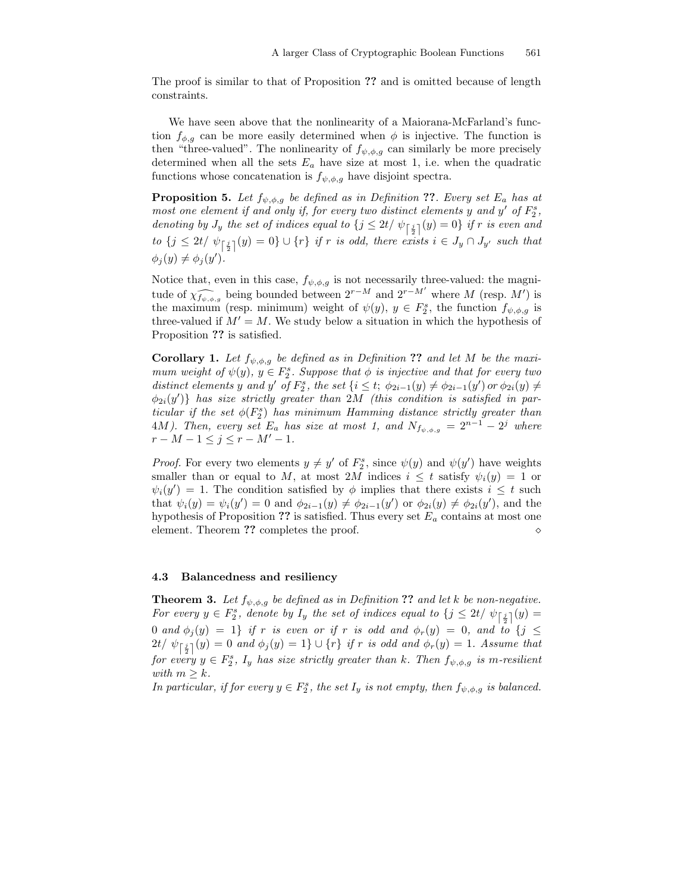The proof is similar to that of Proposition ?? and is omitted because of length constraints.

We have seen above that the nonlinearity of a Maiorana-McFarland's function  $f_{\phi,g}$  can be more easily determined when  $\phi$  is injective. The function is then "three-valued". The nonlinearity of  $f_{\psi,\phi,q}$  can similarly be more precisely determined when all the sets  $E_a$  have size at most 1, i.e. when the quadratic functions whose concatenation is  $f_{\psi,\phi,q}$  have disjoint spectra.

**Proposition 5.** Let  $f_{\psi,\phi,q}$  be defined as in Definition ??. Every set  $E_a$  has at most one element if and only if, for every two distinct elements y and y' of  $F_2^s$ , denoting by  $J_y$  the set of indices equal to  $\{j \leq 2t/\psi_{\left\lceil \frac{j}{2} \right\rceil}(y) = 0\}$  if r is even and  $t$ o  $\{j \leq 2t/\psi_{\left\lceil\frac{j}{2}\right\rceil}(y) = 0\} \cup \{r\}$  if  $r$  is odd, there exists  $i \in J_y \cap J_{y'}$  such that  $\phi_j(y) \neq \phi_j(y')$ .

Notice that, even in this case,  $f_{\psi,\phi,g}$  is not necessarily three-valued: the magnitude of  $\widehat{\chi_{f_{\psi,\phi,g}}}$  being bounded between  $2^{r-M}$  and  $2^{r-M'}$  where M (resp. M') is the maximum (resp. minimum) weight of  $\psi(y), y \in F_2^s$ , the function  $f_{\psi,\phi,g}$  is three-valued if  $M' = M$ . We study below a situation in which the hypothesis of Proposition ?? is satisfied.

**Corollary 1.** Let  $f_{\psi,\phi,g}$  be defined as in Definition ?? and let M be the maximum weight of  $\psi(y)$ ,  $y \in F_2^s$ . Suppose that  $\phi$  is injective and that for every two distinct elements y and y' of  $F_2^s$ , the set  $\{i \leq t; \phi_{2i-1}(y) \neq \phi_{2i-1}(y') \text{ or } \phi_{2i}(y) \neq$  $\{\phi_{2i}(y')\}$  has size strictly greater than 2M (this condition is satisfied in particular if the set  $\phi(F_2^s)$  has minimum Hamming distance strictly greater than 4M). Then, every set  $E_a$  has size at most 1, and  $N_{f_{\psi,\phi,g}} = 2^{n-1} - 2^j$  where  $r - M - 1 \leq j \leq r - M' - 1.$ 

*Proof.* For every two elements  $y \neq y'$  of  $F_2^s$ , since  $\psi(y)$  and  $\psi(y')$  have weights smaller than or equal to M, at most 2M indices  $i \leq t$  satisfy  $\psi_i(y) = 1$  or  $\psi_i(y') = 1$ . The condition satisfied by  $\phi$  implies that there exists  $i \leq t$  such that  $\psi_i(y) = \psi_i(y') = 0$  and  $\phi_{2i-1}(y) \neq \phi_{2i-1}(y')$  or  $\phi_{2i}(y) \neq \phi_{2i}(y')$ , and the hypothesis of Proposition ?? is satisfied. Thus every set  $E_a$  contains at most one element. Theorem ?? completes the proof.  $\Diamond$ 

### 4.3 Balancedness and resiliency

**Theorem 3.** Let  $f_{\psi,\phi,g}$  be defined as in Definition ?? and let k be non-negative. For every  $y \in F_2^s$ , denote by  $I_y$  the set of indices equal to  $\{j \leq 2t/\psi_{\lceil \frac{j}{2} \rceil}(y) =$ 0 and  $\phi_j(y) = 1$  if r is even or if r is odd and  $\phi_r(y) = 0$ , and to  $\{j \leq$  $2t/\psi_{\left\lceil\frac{j}{2}\right\rceil}(y) = 0$  and  $\phi_j(y) = 1$   $\} \cup \{r\}$  if r is odd and  $\phi_r(y) = 1$ . Assume that for every  $y \in F_2^s$ ,  $I_y$  has size strictly greater than k. Then  $f_{\psi,\phi,g}$  is m-resilient with  $m \geq k$ .

In particular, if for every  $y \in F_2^s$ , the set  $I_y$  is not empty, then  $f_{\psi,\phi,g}$  is balanced.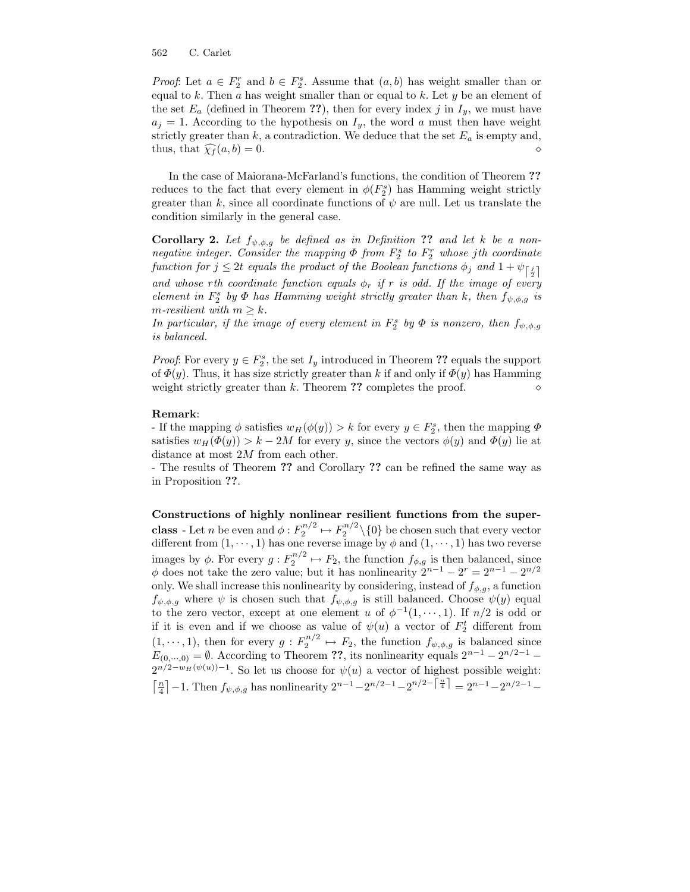*Proof*: Let  $a \in F_2^r$  and  $b \in F_2^s$ . Assume that  $(a, b)$  has weight smaller than or equal to  $k$ . Then  $a$  has weight smaller than or equal to  $k$ . Let  $y$  be an element of the set  $E_a$  (defined in Theorem ??), then for every index j in  $I_y$ , we must have  $a_j = 1$ . According to the hypothesis on  $I_y$ , the word a must then have weight strictly greater than  $k$ , a contradiction. We deduce that the set  $E_a$  is empty and, thus, that  $\widehat{\chi}_f(a, b) = 0.$ 

In the case of Maiorana-McFarland's functions, the condition of Theorem ?? reduces to the fact that every element in  $\phi(F_2^s)$  has Hamming weight strictly greater than k, since all coordinate functions of  $\psi$  are null. Let us translate the condition similarly in the general case.

**Corollary 2.** Let  $f_{\psi,\phi,q}$  be defined as in Definition ?? and let k be a nonnegative integer. Consider the mapping  $\Phi$  from  $F_2^s$  to  $F_2^r$  whose jth coordinate function for  $j \leq 2t$  equals the product of the Boolean functions  $\phi_j$  and  $1 + \psi_{\lceil \frac{j}{2} \rceil}$ and whose rth coordinate function equals  $\phi_r$  if r is odd. If the image of every element in  $F_2^s$  by  $\Phi$  has Hamming weight strictly greater than k, then  $f_{\psi,\phi,g}$  is m-resilient with  $m \geq k$ .

In particular, if the image of every element in  $F_2^s$  by  $\Phi$  is nonzero, then  $f_{\psi,\phi,g}$ is balanced.

*Proof*: For every  $y \in F_2^s$ , the set  $I_y$  introduced in Theorem ?? equals the support of  $\Phi(y)$ . Thus, it has size strictly greater than k if and only if  $\Phi(y)$  has Hamming weight strictly greater than k. Theorem ?? completes the proof.  $\diamond$ 

### Remark:

- If the mapping  $\phi$  satisfies  $w_H(\phi(y)) > k$  for every  $y \in F_2^s$ , then the mapping  $\Phi$ satisfies  $w_H(\Phi(y)) > k - 2M$  for every y, since the vectors  $\phi(y)$  and  $\Phi(y)$  lie at distance at most 2M from each other.

- The results of Theorem ?? and Corollary ?? can be refined the same way as in Proposition ??.

Constructions of highly nonlinear resilient functions from the super**class** - Let *n* be even and  $\phi: F_2^{n/2} \rightarrow F_2^{n/2} \setminus \{0\}$  be chosen such that every vector different from  $(1, \dots, 1)$  has one reverse image by  $\phi$  and  $(1, \dots, 1)$  has two reverse images by  $\phi$ . For every  $g: F_2^{n/2} \mapsto F_2$ , the function  $f_{\phi,g}$  is then balanced, since  $\phi$  does not take the zero value; but it has nonlinearity  $2^{n-1} - 2^r = 2^{n-1} - 2^{n/2}$ only. We shall increase this nonlinearity by considering, instead of  $f_{\phi,g}$ , a function  $f_{\psi,\phi,g}$  where  $\psi$  is chosen such that  $f_{\psi,\phi,g}$  is still balanced. Choose  $\psi(y)$  equal to the zero vector, except at one element u of  $\phi^{-1}(1,\dots,1)$ . If  $n/2$  is odd or if it is even and if we choose as value of  $\psi(u)$  a vector of  $F_2^t$  different from  $(1,\dots,1)$ , then for every  $g: F_2^{n/2} \mapsto F_2$ , the function  $f_{\psi,\phi,g}$  is balanced since  $E_{(0,\dots,0)} = \emptyset$ . According to Theorem ??, its nonlinearity equals  $2^{n-1} - 2^{n/2-1} 2^{n/2-w}$ <sup> $(\psi(u))-1$ </sup>. So let us choose for  $\psi(u)$  a vector of highest possible weight:  $\lceil \frac{n}{4} \rceil - 1$ . Then  $f_{\psi,\phi,g}$  has nonlinearity  $2^{n-1} - 2^{n/2-1} - 2^{n/2-1} = 2^{n-1} - 2^{n/2-1} -$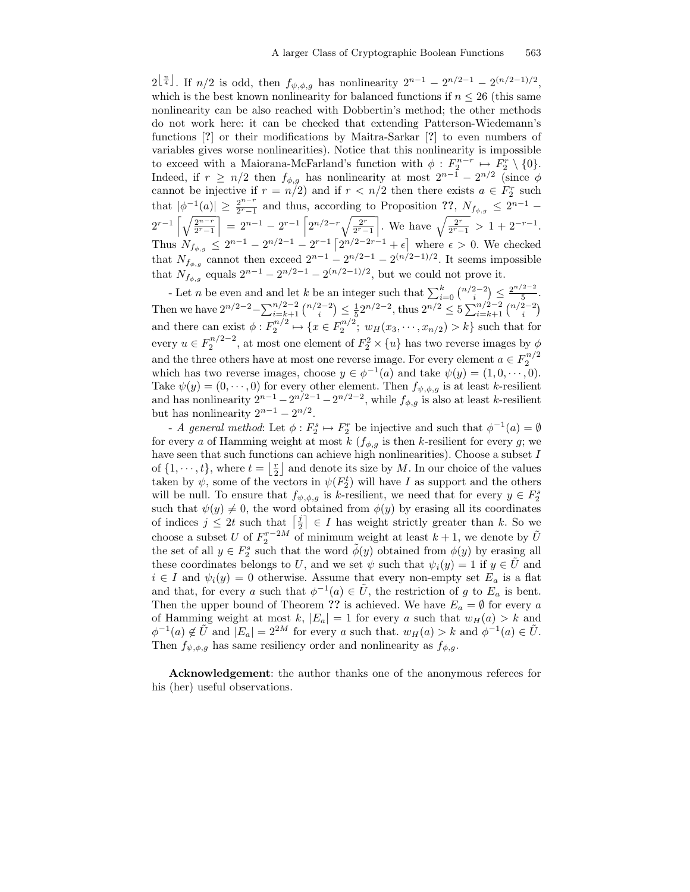$2^{\left\lfloor \frac{n}{4} \right\rfloor}$ . If  $n/2$  is odd, then  $f_{\psi,\phi,g}$  has nonlinearity  $2^{n-1} - 2^{n/2-1} - 2^{(n/2-1)/2}$ , which is the best known nonlinearity for balanced functions if  $n \leq 26$  (this same nonlinearity can be also reached with Dobbertin's method; the other methods do not work here: it can be checked that extending Patterson-Wiedemann's functions [?] or their modifications by Maitra-Sarkar [?] to even numbers of variables gives worse nonlinearities). Notice that this nonlinearity is impossible to exceed with a Maiorana-McFarland's function with  $\phi: F_2^{n-r} \mapsto F_2^r \setminus \{0\}.$ Indeed, if  $r \ge n/2$  then  $f_{\phi,g}$  has nonlinearity at most  $2^{n-1} - 2^{n/2}$  (since  $\phi$ cannot be injective if  $r = n/2$ ) and if  $r < n/2$  then there exists  $a \in F_2^r$  such that  $|\phi^{-1}(a)| \geq \frac{2^{n-r}}{2^r-1}$  $\frac{2^{n-r}}{2^r-1}$  and thus, according to Proposition ??,  $N_{f_{\phi,g}} \leq 2^{n-1}$  –  $2^{r-1}\left[\sqrt{\frac{2^{n-r}}{2^r-1}}\right]$  $= 2^{n-1} - 2^{r-1} \left[ 2^{n/2-r} \sqrt{\frac{2^r}{2^r-1}} \right]$ . We have  $\sqrt{\frac{2^r}{2^r-1}} > 1 + 2^{-r-1}$ . Thus  $N_{f_{\phi,g}} \leq 2^{n-1} - 2^{n/2-1} - 2^{r-1} \left[ 2^{n/2-2r-1} + \epsilon \right]$  where  $\epsilon > 0$ . We checked that  $N_{f_{\phi,g}}$  cannot then exceed  $2^{n-1} - 2^{n/2-1} - 2^{(n/2-1)/2}$ . It seems impossible that  $N_{f_{\phi,g}}$  equals  $2^{n-1} - 2^{n/2-1} - 2^{(n/2-1)/2}$ , but we could not prove it.

- Let *n* be even and and let *k* be an integer such that  $\sum_{i=0}^{k} {n/2-2 \choose i} \le \frac{2^{n/2-2}}{5}$  $\frac{2}{5}$ . Then we have  $2^{n/2-2} - \sum_{i=k+1}^{n/2-2} {n/2-2 \choose i} \le \frac{1}{5} 2^{n/2-2}$ , thus  $2^{n/2} \le 5 \sum_{i=k+1}^{n/2-2} {n/2-2 \choose i}$ and there can exist  $\phi: F_2^{n/2} \mapsto \{x \in F_2^{n/2}; w_H(x_3, \dots, x_{n/2}) > k\}$  such that for every  $u \in F_2^{n/2-2}$ , at most one element of  $F_2^2 \times \{u\}$  has two reverse images by  $\phi$ and the three others have at most one reverse image. For every element  $a \in F_2^{n/2}$ which has two reverse images, choose  $y \in \phi^{-1}(a)$  and take  $\psi(y) = (1, 0, \dots, 0)$ . Take  $\psi(y) = (0, \dots, 0)$  for every other element. Then  $f_{\psi, \phi, g}$  is at least k-resilient and has nonlinearity  $2^{n-1} - 2^{n/2-1} - 2^{n/2-2}$ , while  $f_{\phi,g}$  is also at least k-resilient but has nonlinearity  $2^{n-1} - 2^{n/2}$ .

- A general method: Let  $\phi: F_2^s \mapsto F_2^r$  be injective and such that  $\phi^{-1}(a) = \emptyset$ for every a of Hamming weight at most  $k \left( f_{\phi,q} \right)$  is then k-resilient for every g; we have seen that such functions can achieve high nonlinearities). Choose a subset  $I$ of  $\{1, \dots, t\}$ , where  $t = \lfloor \frac{r}{2} \rfloor$  and denote its size by M. In our choice of the values taken by  $\psi$ , some of the vectors in  $\psi(F_2^t)$  will have I as support and the others will be null. To ensure that  $f_{\psi,\phi,g}$  is k-resilient, we need that for every  $y \in F_2^s$ such that  $\psi(y) \neq 0$ , the word obtained from  $\phi(y)$  by erasing all its coordinates of indices  $j \leq 2t$  such that  $\left\lceil \frac{j}{2} \right\rceil \in I$  has weight strictly greater than k. So we choose a subset U of  $F_2^{r-2M}$  of minimum weight at least  $k+1$ , we denote by  $\tilde{U}$ the set of all  $y \in F_2^s$  such that the word  $\tilde{\phi}(y)$  obtained from  $\phi(y)$  by erasing all these coordinates belongs to U, and we set  $\psi$  such that  $\psi_i(y) = 1$  if  $y \in U$  and  $i \in I$  and  $\psi_i(y) = 0$  otherwise. Assume that every non-empty set  $E_a$  is a flat and that, for every a such that  $\phi^{-1}(a) \in \tilde{U}$ , the restriction of g to  $E_a$  is bent. Then the upper bound of Theorem ?? is achieved. We have  $E_a = \emptyset$  for every a of Hamming weight at most k,  $|E_a| = 1$  for every a such that  $w_H(a) > k$  and  $\phi^{-1}(a) \notin \tilde{U}$  and  $|E_a| = 2^{2M}$  for every a such that.  $w_H(a) > k$  and  $\phi^{-1}(a) \in \tilde{U}$ . Then  $f_{\psi,\phi,g}$  has same resiliency order and nonlinearity as  $f_{\phi,g}$ .

Acknowledgement: the author thanks one of the anonymous referees for his (her) useful observations.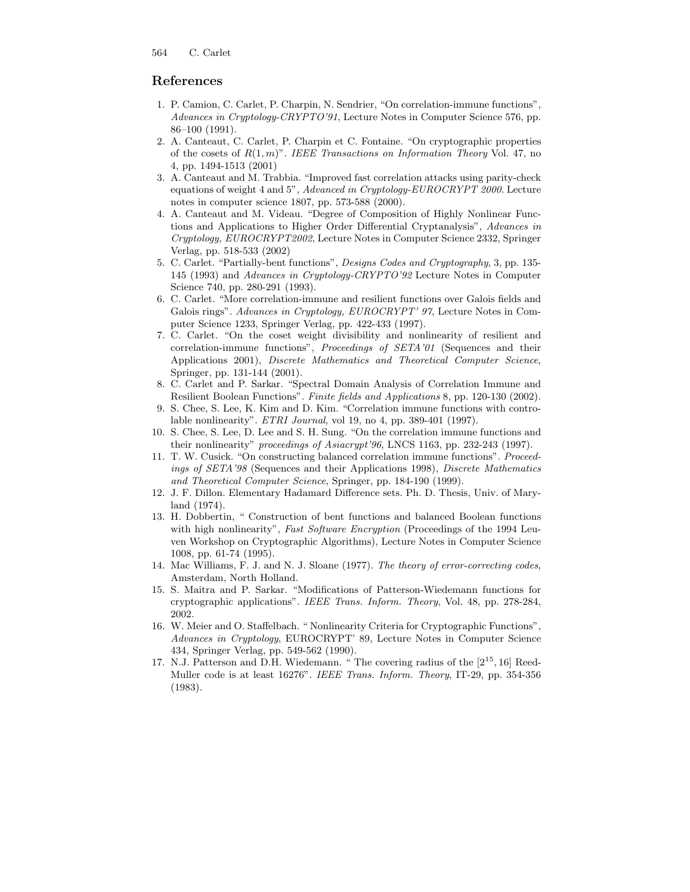# References

- 1. P. Camion, C. Carlet, P. Charpin, N. Sendrier, "On correlation-immune functions", Advances in Cryptology-CRYPTO'91, Lecture Notes in Computer Science 576, pp. 86–100 (1991).
- 2. A. Canteaut, C. Carlet, P. Charpin et C. Fontaine. "On cryptographic properties of the cosets of  $R(1, m)$ ". IEEE Transactions on Information Theory Vol. 47, no 4, pp. 1494-1513 (2001)
- 3. A. Canteaut and M. Trabbia. "Improved fast correlation attacks using parity-check equations of weight 4 and 5", Advanced in Cryptology-EUROCRYPT 2000. Lecture notes in computer science 1807, pp. 573-588 (2000).
- 4. A. Canteaut and M. Videau. "Degree of Composition of Highly Nonlinear Functions and Applications to Higher Order Differential Cryptanalysis", Advances in Cryptology, EUROCRYPT2002, Lecture Notes in Computer Science 2332, Springer Verlag, pp. 518-533 (2002)
- 5. C. Carlet. "Partially-bent functions", Designs Codes and Cryptography, 3, pp. 135- 145 (1993) and Advances in Cryptology-CRYPTO'92 Lecture Notes in Computer Science 740, pp. 280-291 (1993).
- 6. C. Carlet. "More correlation-immune and resilient functions over Galois fields and Galois rings". Advances in Cryptology, EUROCRYPT' 97, Lecture Notes in Computer Science 1233, Springer Verlag, pp. 422-433 (1997).
- 7. C. Carlet. "On the coset weight divisibility and nonlinearity of resilient and correlation-immune functions", Proceedings of SETA'01 (Sequences and their Applications 2001), Discrete Mathematics and Theoretical Computer Science, Springer, pp. 131-144 (2001).
- 8. C. Carlet and P. Sarkar. "Spectral Domain Analysis of Correlation Immune and Resilient Boolean Functions". Finite fields and Applications 8, pp. 120-130 (2002).
- 9. S. Chee, S. Lee, K. Kim and D. Kim. "Correlation immune functions with controlable nonlinearity". ETRI Journal, vol 19, no 4, pp. 389-401 (1997).
- 10. S. Chee, S. Lee, D. Lee and S. H. Sung. "On the correlation immune functions and their nonlinearity" proceedings of Asiacrypt'96, LNCS 1163, pp. 232-243 (1997).
- 11. T. W. Cusick. "On constructing balanced correlation immune functions". Proceedings of SETA'98 (Sequences and their Applications 1998), Discrete Mathematics and Theoretical Computer Science, Springer, pp. 184-190 (1999).
- 12. J. F. Dillon. Elementary Hadamard Difference sets. Ph. D. Thesis, Univ. of Maryland (1974).
- 13. H. Dobbertin, " Construction of bent functions and balanced Boolean functions with high nonlinearity", Fast Software Encryption (Proceedings of the 1994 Leuven Workshop on Cryptographic Algorithms), Lecture Notes in Computer Science 1008, pp. 61-74 (1995).
- 14. Mac Williams, F. J. and N. J. Sloane (1977). The theory of error-correcting codes, Amsterdam, North Holland.
- 15. S. Maitra and P. Sarkar. "Modifications of Patterson-Wiedemann functions for cryptographic applications". IEEE Trans. Inform. Theory, Vol. 48, pp. 278-284, 2002.
- 16. W. Meier and O. Staffelbach. " Nonlinearity Criteria for Cryptographic Functions", Advances in Cryptology, EUROCRYPT' 89, Lecture Notes in Computer Science 434, Springer Verlag, pp. 549-562 (1990).
- 17. N.J. Patterson and D.H. Wiedemann. "The covering radius of the  $[2^{15}, 16]$  Reed-Muller code is at least 16276". IEEE Trans. Inform. Theory, IT-29, pp. 354-356 (1983).